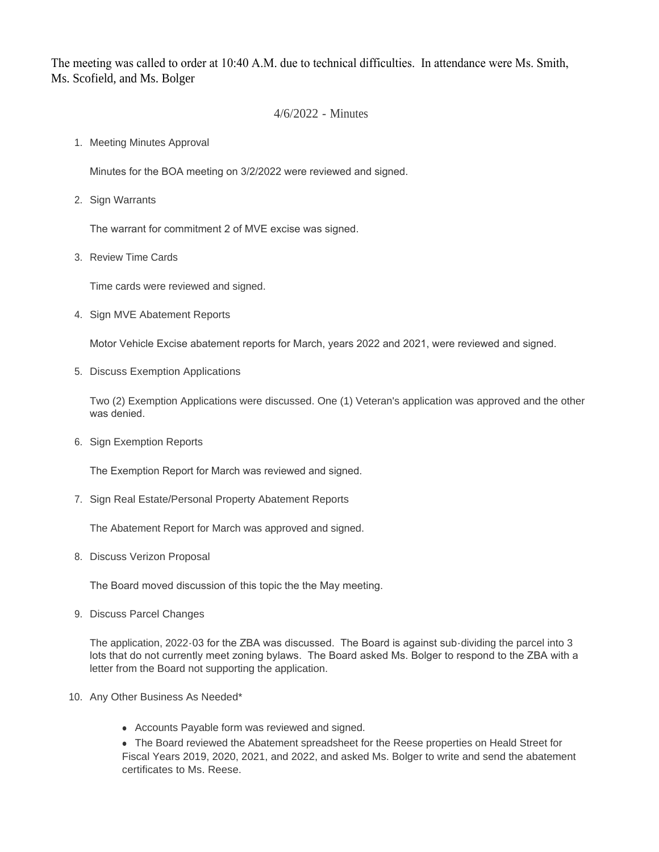The meeting was called to order at 10:40 A.M. due to technical difficulties. In attendance were Ms. Smith, Ms. Scofield, and Ms. Bolger

## 4/6/2022 - Minutes

1. Meeting Minutes Approval

Minutes for the BOA meeting on 3/2/2022 were reviewed and signed.

2. Sign Warrants

The warrant for commitment 2 of MVE excise was signed.

3. Review Time Cards

Time cards were reviewed and signed.

4. Sign MVE Abatement Reports

Motor Vehicle Excise abatement reports for March, years 2022 and 2021, were reviewed and signed.

5. Discuss Exemption Applications

Two (2) Exemption Applications were discussed. One (1) Veteran's application was approved and the other was denied.

6. Sign Exemption Reports

The Exemption Report for March was reviewed and signed.

7. Sign Real Estate/Personal Property Abatement Reports

The Abatement Report for March was approved and signed.

8. Discuss Verizon Proposal

The Board moved discussion of this topic the the May meeting.

9. Discuss Parcel Changes

The application, 2022-03 for the ZBA was discussed. The Board is against sub-dividing the parcel into 3 lots that do not currently meet zoning bylaws. The Board asked Ms. Bolger to respond to the ZBA with a letter from the Board not supporting the application.

- 10. Any Other Business As Needed\*
	- Accounts Payable form was reviewed and signed.

• The Board reviewed the Abatement spreadsheet for the Reese properties on Heald Street for Fiscal Years 2019, 2020, 2021, and 2022, and asked Ms. Bolger to write and send the abatement certificates to Ms. Reese.